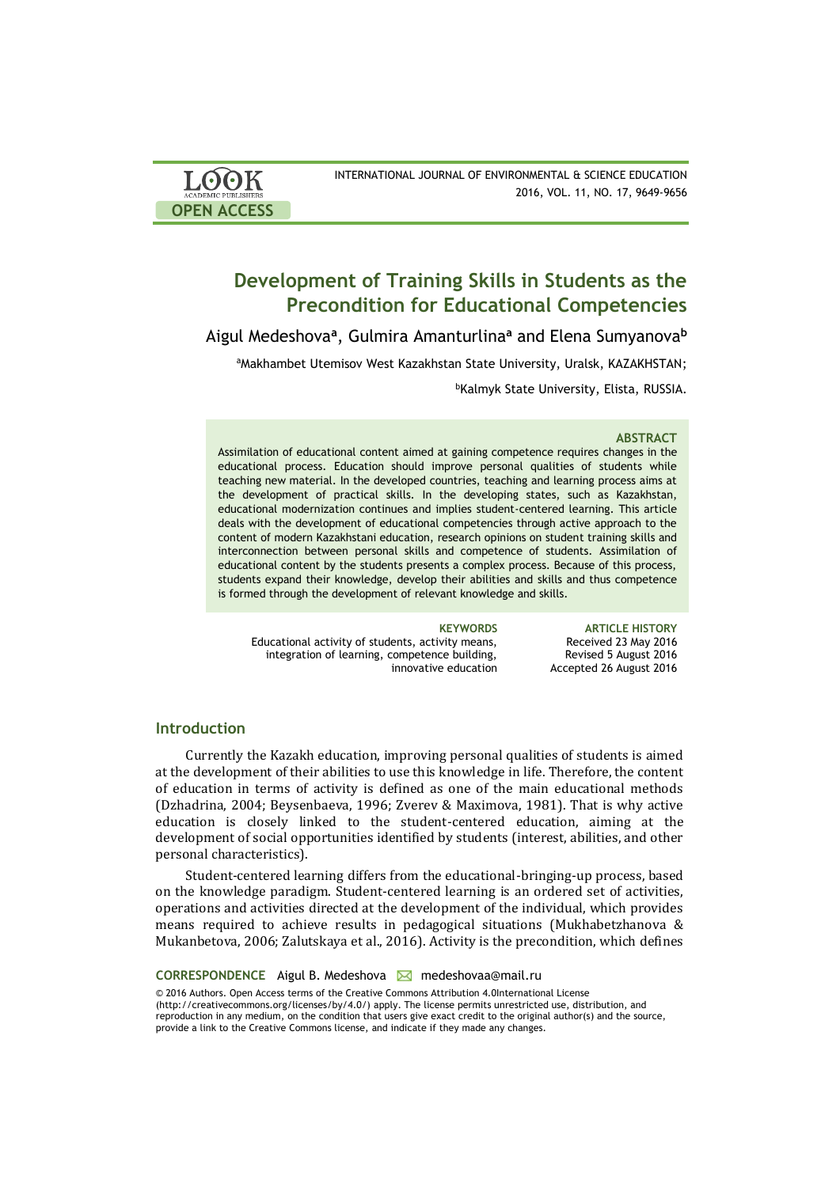| <b>LOOK</b>                | INTERNATIONAL JOURNAL OF ENVIRONMENTAL & SCIENCE EDUCATION |
|----------------------------|------------------------------------------------------------|
| <b>ACADEMIC PUBLISHERS</b> | 2016, VOL. 11, NO. 17, 9649-9656                           |
| <b>OPEN ACCESS</b>         |                                                            |

# **Development of Training Skills in Students as the Precondition for Educational Competencies**

Aigul Medeshova**<sup>a</sup>** , Gulmira Amanturlina**<sup>a</sup>** and Elena Sumyanova**<sup>b</sup>**

aMakhambet Utemisov West Kazakhstan State University, Uralsk, KAZAKHSTAN;

<sup>b</sup>Kalmyk State University, Elista, RUSSIA.

### **ABSTRACT**

Assimilation of educational content aimed at gaining competence requires changes in the educational process. Education should improve personal qualities of students while teaching new material. In the developed countries, teaching and learning process aims at the development of practical skills. In the developing states, such as Kazakhstan, educational modernization continues and implies student-centered learning. This article deals with the development of educational competencies through active approach to the content of modern Kazakhstani education, research opinions on student training skills and interconnection between personal skills and competence of students. Assimilation of educational content by the students presents a complex process. Because of this process, students expand their knowledge, develop their abilities and skills and thus competence is formed through the development of relevant knowledge and skills.

Educational activity of students, activity means, integration of learning, competence building, innovative education

**KEYWORDS ARTICLE HISTORY** Received 23 May 2016 Revised 5 August 2016 Accepted 26 August 2016

# **Introduction**

Currently the Kazakh education, improving personal qualities of students is aimed at the development of their abilities to use this knowledge in life. Therefore, the content of education in terms of activity is defined as one of the main educational methods (Dzhadrina, 2004; Beysenbaeva, 1996; Zverev & Maximova, 1981). That is why active education is closely linked to the student-centered education, aiming at the development of social opportunities identified by students (interest, abilities, and other personal characteristics).

Student-centered learning differs from the educational-bringing-up process, based on the knowledge paradigm. Student-centered learning is an ordered set of activities, operations and activities directed at the development of the individual, which provides means required to achieve results in pedagogical situations (Mukhabetzhanova & Mukanbetova, 2006; Zalutskaya et al., 2016). Activity is the precondition, which defines

**CORRESPONDENCE** Aigul B. Medeshova medeshovaa@mail.ru

© 2016 Authors. Open Access terms of the Creative Commons Attribution 4.0International License (http://creativecommons.org/licenses/by/4.0/) apply. The license permits unrestricted use, distribution, and reproduction in any medium, on the condition that users give exact credit to the original author(s) and the source, provide a link to the Creative Commons license, and indicate if they made any changes.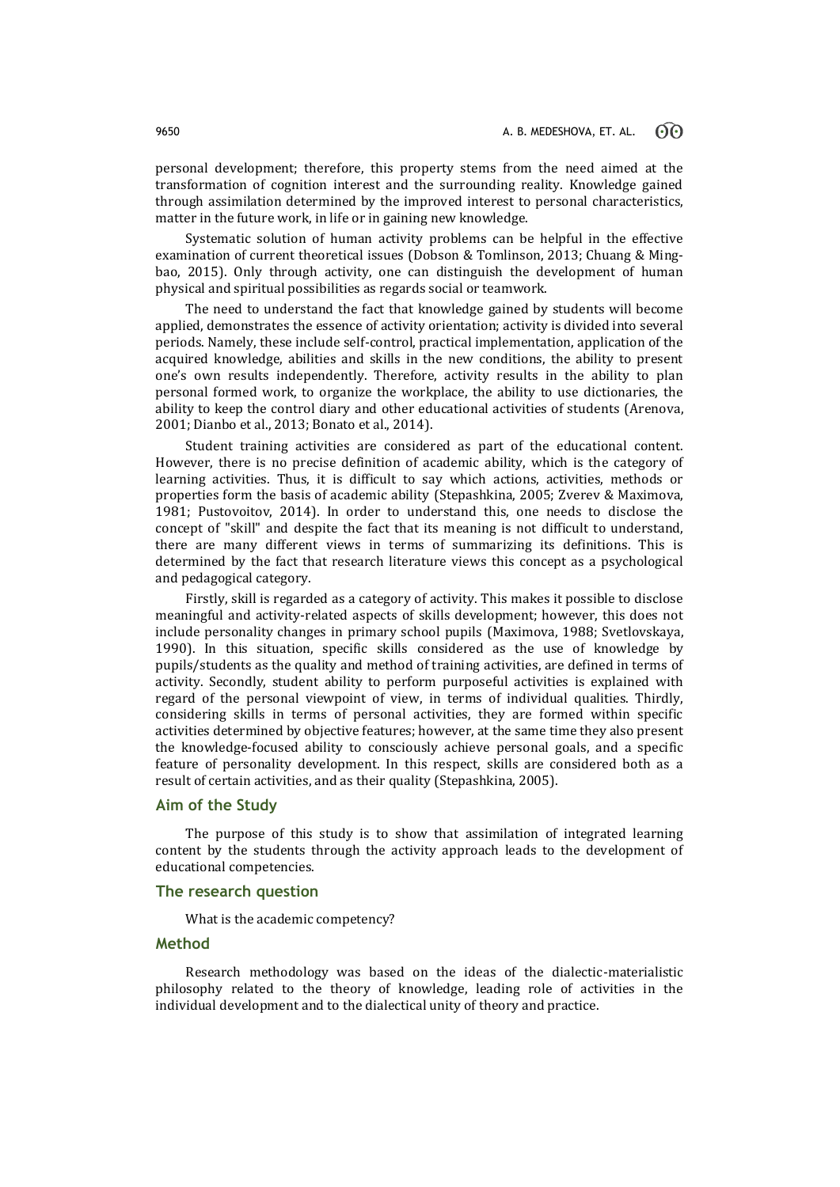personal development; therefore, this property stems from the need aimed at the transformation of cognition interest and the surrounding reality. Knowledge gained through assimilation determined by the improved interest to personal characteristics, matter in the future work, in life or in gaining new knowledge.

Systematic solution of human activity problems can be helpful in the effective examination of current theoretical issues (Dobson & Tomlinson, 2013; Chuang & Mingbao, 2015). Only through activity, one can distinguish the development of human physical and spiritual possibilities as regards social or teamwork.

The need to understand the fact that knowledge gained by students will become applied, demonstrates the essence of activity orientation; activity is divided into several periods. Namely, these include self-control, practical implementation, application of the acquired knowledge, abilities and skills in the new conditions, the ability to present one's own results independently. Therefore, activity results in the ability to plan personal formed work, to organize the workplace, the ability to use dictionaries, the ability to keep the control diary and other educational activities of students (Аrenova, 2001; Dianbo et al., 2013; Bonato et al., 2014).

Student training activities are considered as part of the educational content. However, there is no precise definition of academic ability, which is the category of learning activities. Thus, it is difficult to say which actions, activities, methods or properties form the basis of academic ability (Stepashkina, 2005; Zverev & Maximova, 1981; Pustovoitov, 2014). In order to understand this, one needs to disclose the concept of "skill" and despite the fact that its meaning is not difficult to understand, there are many different views in terms of summarizing its definitions. This is determined by the fact that research literature views this concept as a psychological and pedagogical category.

Firstly, skill is regarded as a category of activity. This makes it possible to disclose meaningful and activity-related aspects of skills development; however, this does not include personality changes in primary school pupils (Maximova, 1988; Svetlovskaya, 1990). In this situation, specific skills considered as the use of knowledge by pupils/students as the quality and method of training activities, are defined in terms of activity. Secondly, student ability to perform purposeful activities is explained with regard of the personal viewpoint of view, in terms of individual qualities. Thirdly, considering skills in terms of personal activities, they are formed within specific activities determined by objective features; however, at the same time they also present the knowledge-focused ability to consciously achieve personal goals, and a specific feature of personality development. In this respect, skills are considered both as a result of certain activities, and as their quality (Stepashkina, 2005).

### **Aim of the Study**

The purpose of this study is to show that assimilation of integrated learning content by the students through the activity approach leads to the development of educational competencies.

# **The research question**

What is the academic competency?

# **Method**

Research methodology was based on the ideas of the dialectic-materialistic philosophy related to the theory of knowledge, leading role of activities in the individual development and to the dialectical unity of theory and practice.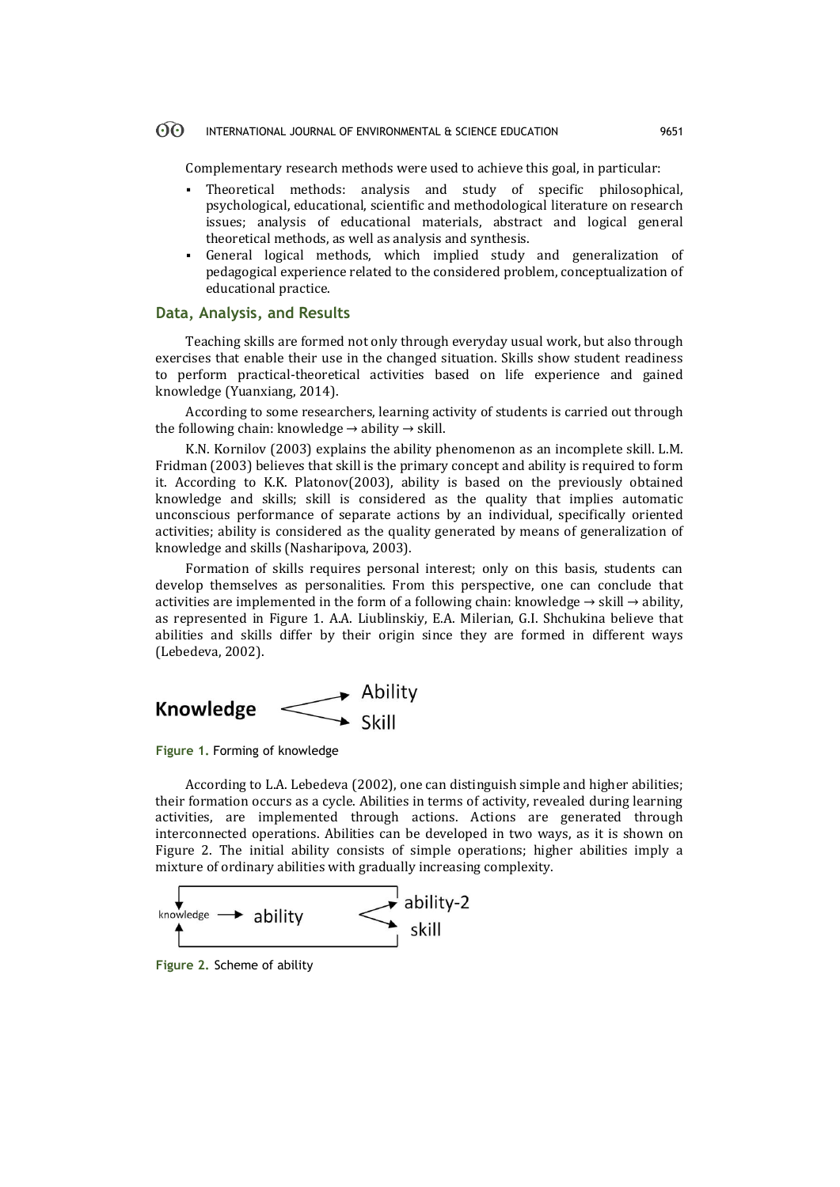#### $\odot$ INTERNATIONAL JOURNAL OF ENVIRONMENTAL & SCIENCE EDUCATION 9651

Complementary research methods were used to achieve this goal, in particular:

- Theoretical methods: analysis and study of specific philosophical, psychological, educational, scientific and methodological literature on research issues; analysis of educational materials, abstract and logical general theoretical methods, as well as analysis and synthesis.
- General logical methods, which implied study and generalization of pedagogical experience related to the considered problem, conceptualization of educational practice.

## **Data, Analysis, and Results**

Teaching skills are formed not only through everyday usual work, but also through exercises that enable their use in the changed situation. Skills show student readiness to perform practical-theoretical activities based on life experience and gained knowledge (Yuanxiang, 2014).

According to some researchers, learning activity of students is carried out through the following chain: knowledge  $\rightarrow$  ability  $\rightarrow$  skill.

K.N. Kornilov (2003) explains the ability phenomenon as an incomplete skill. L.M. Fridman (2003) believes that skill is the primary concept and ability is required to form it. According to K.K. Platonov(2003), ability is based on the previously obtained knowledge and skills; skill is considered as the quality that implies automatic unconscious performance of separate actions by an individual, specifically oriented activities; ability is considered as the quality generated by means of generalization of knowledge and skills (Nasharipova, 2003).

Formation of skills requires personal interest; only on this basis, students can develop themselves as personalities. From this perspective, one can conclude that activities are implemented in the form of a following chain: knowledge  $\rightarrow$  skill  $\rightarrow$  ability, as represented in Figure 1. А.А. Liublinskiy, Е.А. Мilerian, G.I. Shchukina believe that abilities and skills differ by their origin since they are formed in different ways (Lebedeva, 2002).



**Figure 1.** Forming of knowledge

According to L.А. Lebedeva (2002), one can distinguish simple and higher abilities; their formation occurs as a cycle. Abilities in terms of activity, revealed during learning activities, are implemented through actions. Actions are generated through interconnected operations. Abilities can be developed in two ways, as it is shown on Figure 2. The initial ability consists of simple operations; higher abilities imply a mixture of ordinary abilities with gradually increasing complexity.



**Figure 2.** Scheme of ability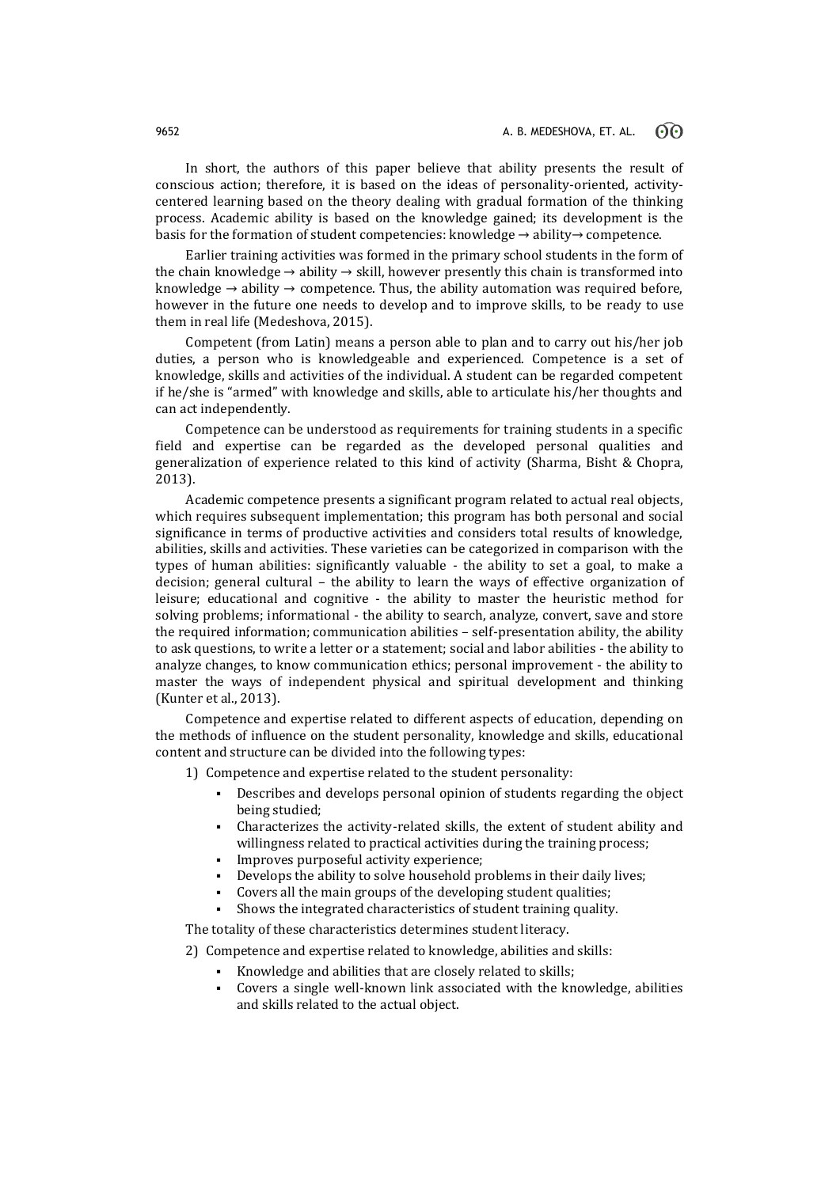In short, the authors of this paper believe that ability presents the result of conscious action; therefore, it is based on the ideas of personality-oriented, activitycentered learning based on the theory dealing with gradual formation of the thinking process. Academic ability is based on the knowledge gained; its development is the basis for the formation of student competencies: knowledge → ability→ competence.

Earlier training activities was formed in the primary school students in the form of the chain knowledge  $\rightarrow$  ability  $\rightarrow$  skill, however presently this chain is transformed into knowledge  $\rightarrow$  ability  $\rightarrow$  competence. Thus, the ability automation was required before, however in the future one needs to develop and to improve skills, to be ready to use them in real life (Medeshova, 2015).

Competent (from Latin) means a person able to plan and to carry out his/her job duties, a person who is knowledgeable and experienced. Competence is a set of knowledge, skills and activities of the individual. A student can be regarded competent if he/she is "armed" with knowledge and skills, able to articulate his/her thoughts and can act independently.

Competence can be understood as requirements for training students in a specific field and expertise can be regarded as the developed personal qualities and generalization of experience related to this kind of activity (Sharma, Bisht & Chopra, 2013).

Academic competence presents a significant program related to actual real objects, which requires subsequent implementation; this program has both personal and social significance in terms of productive activities and considers total results of knowledge, abilities, skills and activities. These varieties can be categorized in comparison with the types of human abilities: significantly valuable - the ability to set a goal, to make a decision; general cultural – the ability to learn the ways of effective organization of leisure; educational and cognitive - the ability to master the heuristic method for solving problems; informational - the ability to search, analyze, convert, save and store the required information; communication abilities – self-presentation ability, the ability to ask questions, to write a letter or a statement; social and labor abilities - the ability to analyze changes, to know communication ethics; personal improvement - the ability to master the ways of independent physical and spiritual development and thinking (Kunter et al., 2013).

Competence and expertise related to different aspects of education, depending on the methods of influence on the student personality, knowledge and skills, educational content and structure can be divided into the following types:

1) Competence and expertise related to the student personality:

- Describes and develops personal opinion of students regarding the object being studied;
- Characterizes the activity-related skills, the extent of student ability and willingness related to practical activities during the training process;
- Improves purposeful activity experience;
- Develops the ability to solve household problems in their daily lives;
- Covers all the main groups of the developing student qualities;
- Shows the integrated characteristics of student training quality.

The totality of these characteristics determines student literacy.

2) Competence and expertise related to knowledge, abilities and skills:

- Knowledge and abilities that are closely related to skills;
- Covers a single well-known link associated with the knowledge, abilities and skills related to the actual object.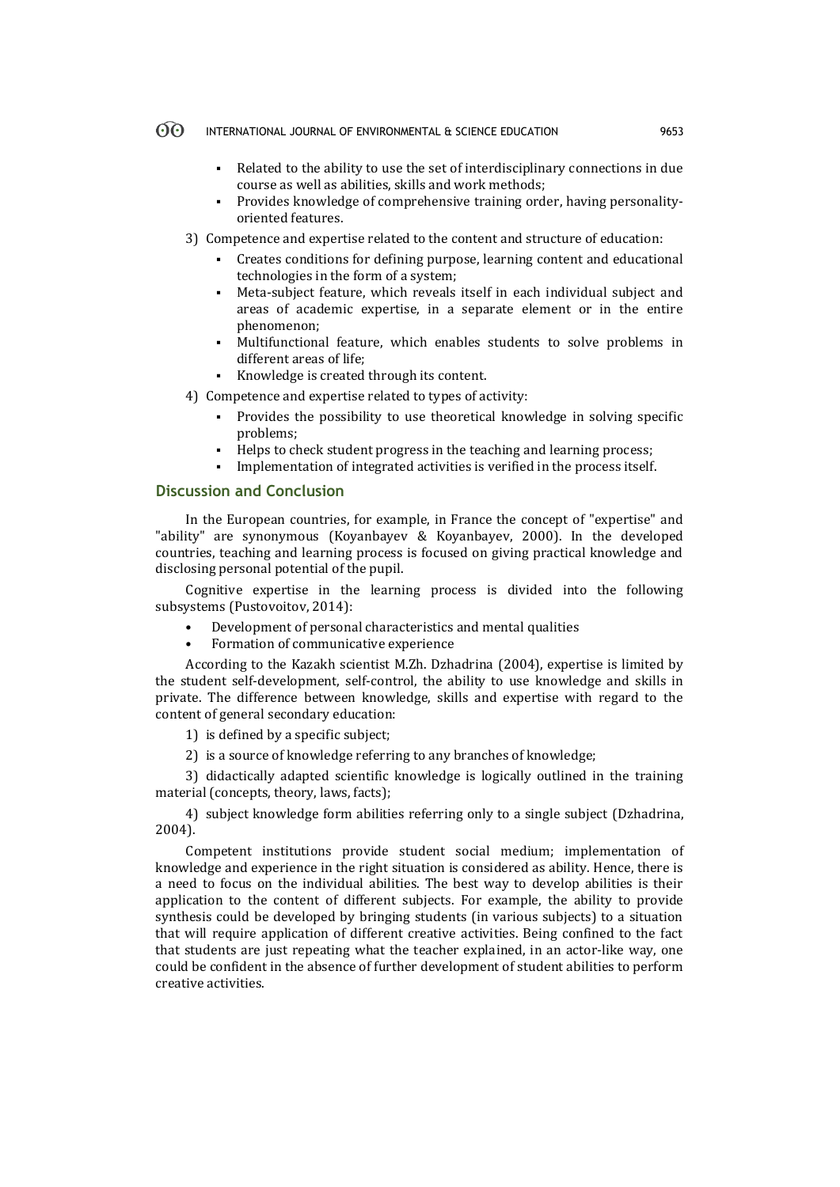#### $\Theta$ INTERNATIONAL JOURNAL OF ENVIRONMENTAL & SCIENCE EDUCATION 9653

- Related to the ability to use the set of interdisciplinary connections in due course as well as abilities, skills and work methods;
- Provides knowledge of comprehensive training order, having personalityoriented features.
- 3) Competence and expertise related to the content and structure of education:
	- Creates conditions for defining purpose, learning content and educational technologies in the form of a system;
	- Meta-subject feature, which reveals itself in each individual subject and areas of academic expertise, in a separate element or in the entire phenomenon;
	- Multifunctional feature, which enables students to solve problems in different areas of life;
	- Knowledge is created through its content.

4) Competence and expertise related to types of activity:

- Provides the possibility to use theoretical knowledge in solving specific problems;
- Helps to check student progress in the teaching and learning process;
- Implementation of integrated activities is verified in the process itself.

# **Discussion and Conclusion**

In the European countries, for example, in France the concept of "expertise" and "ability" are synonymous (Koyanbayev & Koyanbayev, 2000). In the developed countries, teaching and learning process is focused on giving practical knowledge and disclosing personal potential of the pupil.

Cognitive expertise in the learning process is divided into the following subsystems (Pustovoitov, 2014):

- Development of personal characteristics and mental qualities
- Formation of communicative experience

According to the Kazakh scientist M.Zh. Dzhadrina (2004), expertise is limited by the student self-development, self-control, the ability to use knowledge and skills in private. The difference between knowledge, skills and expertise with regard to the content of general secondary education:

1) is defined by a specific subject;

2) is a source of knowledge referring to any branches of knowledge;

3) didactically adapted scientific knowledge is logically outlined in the training material (concepts, theory, laws, facts);

4) subject knowledge form abilities referring only to a single subject (Dzhadrina, 2004).

Competent institutions provide student social medium; implementation of knowledge and experience in the right situation is considered as ability. Hence, there is a need to focus on the individual abilities. The best way to develop abilities is their application to the content of different subjects. For example, the ability to provide synthesis could be developed by bringing students (in various subjects) to a situation that will require application of different creative activities. Being confined to the fact that students are just repeating what the teacher explained, in an actor-like way, one could be confident in the absence of further development of student abilities to perform creative activities.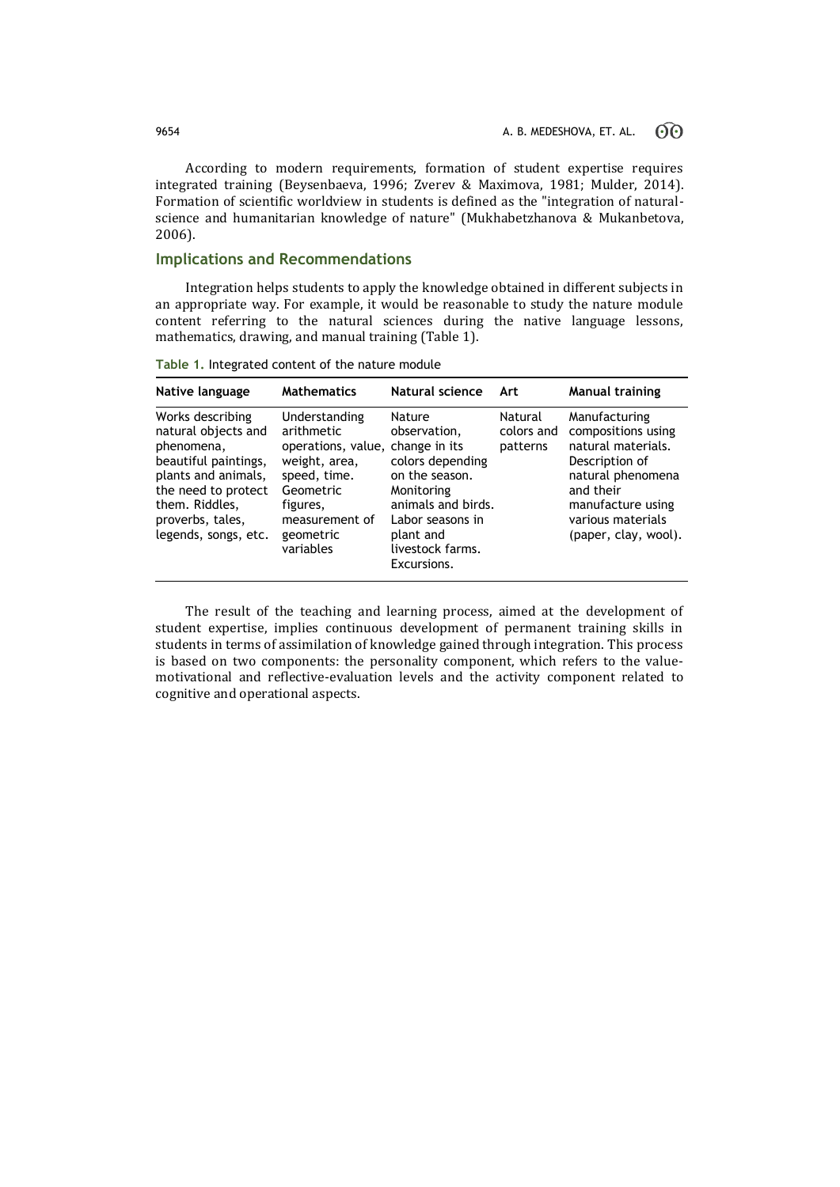According to modern requirements, formation of student expertise requires integrated training (Beysenbaeva, 1996; Zverev & Maximova, 1981; Mulder, 2014). Formation of scientific worldview in students is defined as the "integration of naturalscience and humanitarian knowledge of nature" (Mukhabetzhanova & Mukanbetova, 2006).

# **Implications and Recommendations**

Integration helps students to apply the knowledge obtained in different subjects in an appropriate way. For example, it would be reasonable to study the nature module content referring to the natural sciences during the native language lessons, mathematics, drawing, and manual training (Table 1).

| Native language                                                                                                                                                                           | <b>Mathematics</b>                                                                                                                                                    | Natural science                                                                                                                                                      | Art                               | <b>Manual training</b>                                                                                                                                                          |
|-------------------------------------------------------------------------------------------------------------------------------------------------------------------------------------------|-----------------------------------------------------------------------------------------------------------------------------------------------------------------------|----------------------------------------------------------------------------------------------------------------------------------------------------------------------|-----------------------------------|---------------------------------------------------------------------------------------------------------------------------------------------------------------------------------|
| Works describing<br>natural objects and<br>phenomena,<br>beautiful paintings,<br>plants and animals,<br>the need to protect<br>them. Riddles,<br>proverbs, tales,<br>legends, songs, etc. | Understanding<br>arithmetic<br>operations, value, change in its<br>weight, area,<br>speed, time.<br>Geometric<br>figures,<br>measurement of<br>geometric<br>variables | Nature<br>observation,<br>colors depending<br>on the season.<br>Monitoring<br>animals and birds.<br>Labor seasons in<br>plant and<br>livestock farms.<br>Excursions. | Natural<br>colors and<br>patterns | Manufacturing<br>compositions using<br>natural materials.<br>Description of<br>natural phenomena<br>and their<br>manufacture using<br>various materials<br>(paper, clay, wool). |

**Table 1.** Integrated content of the nature module

The result of the teaching and learning process, aimed at the development of student expertise, implies continuous development of permanent training skills in students in terms of assimilation of knowledge gained through integration. This process is based on two components: the personality component, which refers to the valuemotivational and reflective-evaluation levels and the activity component related to cognitive and operational aspects.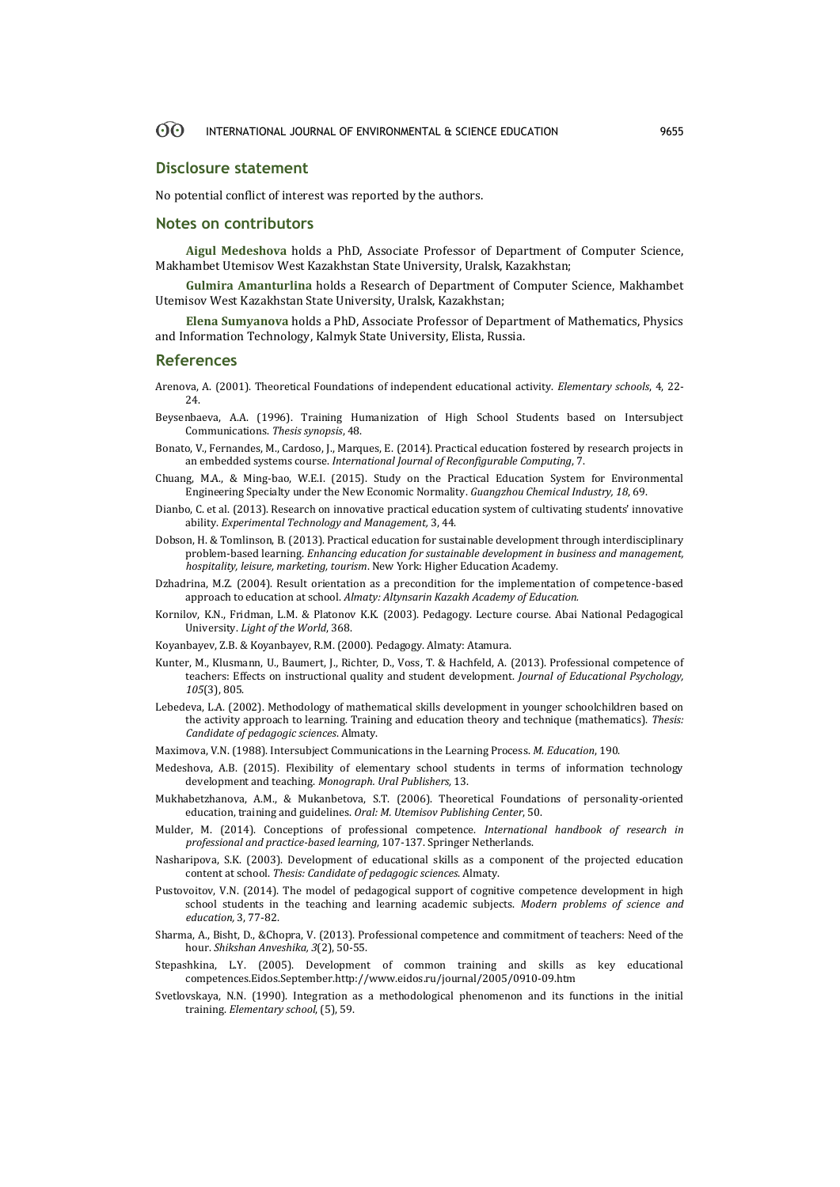#### <u>ගිල</u> INTERNATIONAL JOURNAL OF ENVIRONMENTAL & SCIENCE EDUCATION 9655

### **Disclosure statement**

No potential conflict of interest was reported by the authors.

### **Notes on contributors**

**Aigul Medeshova** holds a PhD, Associate Professor of Department of Computer Science, Makhambet Utemisov West Kazakhstan State University, Uralsk, Kazakhstan;

**Gulmira Amanturlina** holds a Research of Department of Computer Science, Makhambet Utemisov West Kazakhstan State University, Uralsk, Kazakhstan;

**Elena Sumyanova** holds a PhD, Associate Professor of Department of Mathematics, Physics and Information Technology, Kalmyk State University, Elista, Russia.

### **References**

- Аrenova, А. (2001). Theoretical Foundations of independent educational activity. *Elementary schools*, 4, 22- 24.
- Beysenbaeva, A.A. (1996). Training Humanization of High School Students based on Intersubject Communications. *Thesis synopsis*, 48.
- Bonato, V., Fernandes, M., Cardoso, J., Marques, E. (2014). Practical education fostered by research projects in an embedded systems course. *International Journal of Reconfigurable Computing*, 7.
- Chuang, M.A., & Ming-bao, W.E.I. (2015). Study on the Practical Education System for Environmental Engineering Specialty under the New Economic Normality. *Guangzhou Chemical Industry, 18*, 69.
- Dianbo, C. et al. (2013). Research on innovative practical education system of cultivating students' innovative ability. *Experimental Technology and Management,* 3, 44.
- Dobson, H. & Tomlinson, B. (2013). Practical education for sustainable development through interdisciplinary problem-based learning. *Enhancing education for sustainable development in business and management, hospitality, leisure, marketing, tourism*. New York: Higher Education Academy.
- Dzhadrina, M.Z. (2004). Result orientation as a precondition for the implementation of competence-based approach to education at school. *Almaty: Altynsarin Kazakh Academy of Education.*
- Kornilov, K.N., Fridman, L.M. & Platonov K.K. (2003). Pedagogy. Lecture course. Abai National Pedagogical University. *Light of the World*, 368.
- Koyanbayev, Z.B. & Koyanbayev, R.M. (2000). Pedagogy. Аlmaty: Atamura.
- Kunter, M., Klusmann, U., Baumert, J., Richter, D., Voss, T. & Hachfeld, A. (2013). Professional competence of teachers: Effects on instructional quality and student development. *Journal of Educational Psychology, 105*(3), 805.
- Lebedeva, L.A. (2002). Methodology of mathematical skills development in younger schoolchildren based on the activity approach to learning. Training and education theory and technique (mathematics). *Thesis: Candidate of pedagogic sciences*. Almaty.
- Maximova, V.N. (1988). Intersubject Communications in the Learning Process. *M. Education*, 190.
- Medeshova, А.B. (2015). Flexibility of elementary school students in terms of information technology development and teaching. *Monograph. Ural Publishers,* 13.
- Mukhabetzhanova, A.M., & Mukanbetova, S.T. (2006). Theoretical Foundations of personality-oriented education, training and guidelines. *Oral: M. Utemisov Publishing Center*, 50.
- Mulder, M. (2014). Conceptions of professional competence. *International handbook of research in professional and practice-based learning,* 107-137. Springer Netherlands.
- Nasharipova, S.K. (2003). Development of educational skills as a component of the projected education content at school. *Thesis: Candidate of pedagogic sciences*. Almaty.
- Pustovoitov, V.N. (2014). The model of pedagogical support of cognitive competence development in high school students in the teaching and learning academic subjects. *Modern problems of science and education,* 3, 77-82.
- Sharma, A., Bisht, D., &Chopra, V. (2013). Professional competence and commitment of teachers: Need of the hour. *Shikshan Anveshika, 3*(2), 50-55.
- Stepashkina, L.Y. (2005). Development of common training and skills as key educational competences.Eidos.September.http://www.eidos.ru/journal/2005/0910-09.htm
- Svetlovskaya, N.N. (1990). Integration as a methodological phenomenon and its functions in the initial training. *Elementary school*, (5), 59.